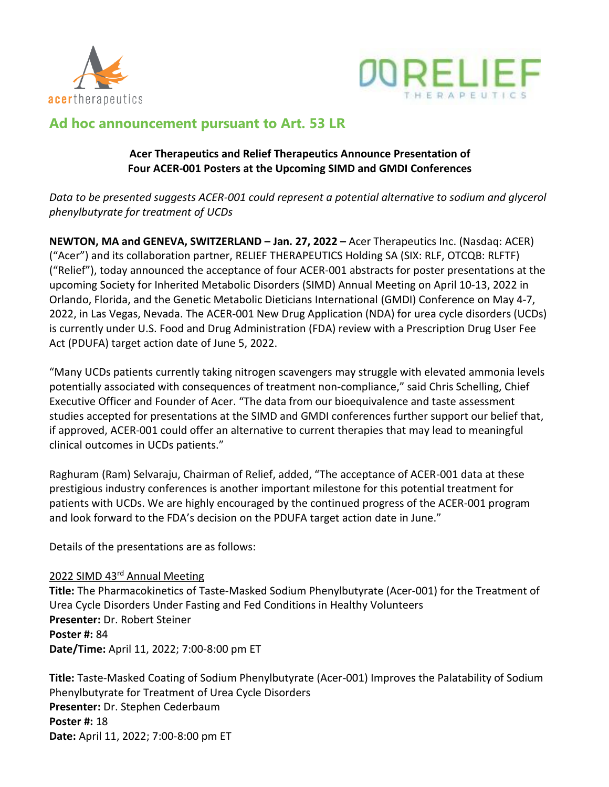



# **Ad hoc announcement pursuant to Art. 53 LR**

## **Acer Therapeutics and Relief Therapeutics Announce Presentation of Four ACER-001 Posters at the Upcoming SIMD and GMDI Conferences**

*Data to be presented suggests ACER-001 could represent a potential alternative to sodium and glycerol phenylbutyrate for treatment of UCDs*

**NEWTON, MA and GENEVA, SWITZERLAND – Jan. 27, 2022 –** Acer Therapeutics Inc. (Nasdaq: ACER) ("Acer") and its collaboration partner, RELIEF THERAPEUTICS Holding SA (SIX: RLF, OTCQB: RLFTF) ("Relief"), today announced the acceptance of four ACER-001 abstracts for poster presentations at the upcoming Society for Inherited Metabolic Disorders (SIMD) Annual Meeting on April 10-13, 2022 in Orlando, Florida, and the Genetic Metabolic Dieticians International (GMDI) Conference on May 4-7, 2022, in Las Vegas, Nevada. The ACER-001 New Drug Application (NDA) for urea cycle disorders (UCDs) is currently under U.S. Food and Drug Administration (FDA) review with a Prescription Drug User Fee Act (PDUFA) target action date of June 5, 2022.

"Many UCDs patients currently taking nitrogen scavengers may struggle with elevated ammonia levels potentially associated with consequences of treatment non-compliance," said Chris Schelling, Chief Executive Officer and Founder of Acer. "The data from our bioequivalence and taste assessment studies accepted for presentations at the SIMD and GMDI conferences further support our belief that, if approved, ACER-001 could offer an alternative to current therapies that may lead to meaningful clinical outcomes in UCDs patients."

Raghuram (Ram) Selvaraju, Chairman of Relief, added, "The acceptance of ACER-001 data at these prestigious industry conferences is another important milestone for this potential treatment for patients with UCDs. We are highly encouraged by the continued progress of the ACER-001 program and look forward to the FDA's decision on the PDUFA target action date in June."

Details of the presentations are as follows:

## 2022 SIMD 43<sup>rd</sup> Annual Meeting

**Title:** The Pharmacokinetics of Taste-Masked Sodium Phenylbutyrate (Acer-001) for the Treatment of Urea Cycle Disorders Under Fasting and Fed Conditions in Healthy Volunteers **Presenter:** Dr. Robert Steiner **Poster #:** 84 **Date/Time:** April 11, 2022; 7:00-8:00 pm ET

**Title:** Taste-Masked Coating of Sodium Phenylbutyrate (Acer-001) Improves the Palatability of Sodium Phenylbutyrate for Treatment of Urea Cycle Disorders **Presenter:** Dr. Stephen Cederbaum **Poster #:** 18 **Date:** April 11, 2022; 7:00-8:00 pm ET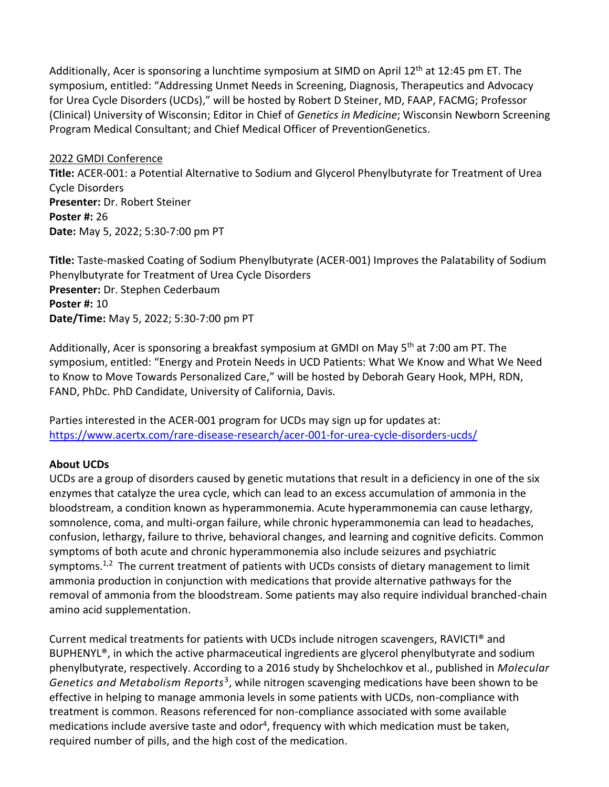Additionally, Acer is sponsoring a lunchtime symposium at SIMD on April 12<sup>th</sup> at 12:45 pm ET. The symposium, entitled: "Addressing Unmet Needs in Screening, Diagnosis, Therapeutics and Advocacy for Urea Cycle Disorders (UCDs)," will be hosted by Robert D Steiner, MD, FAAP, FACMG; Professor (Clinical) University of Wisconsin; Editor in Chief of *Genetics in Medicine*; Wisconsin Newborn Screening Program Medical Consultant; and Chief Medical Officer of PreventionGenetics.

### 2022 GMDI Conference

**Title:** ACER-001: a Potential Alternative to Sodium and Glycerol Phenylbutyrate for Treatment of Urea Cycle Disorders **Presenter:** Dr. Robert Steiner **Poster #:** 26 **Date:** May 5, 2022; 5:30-7:00 pm PT

**Title:** Taste-masked Coating of Sodium Phenylbutyrate (ACER-001) Improves the Palatability of Sodium Phenylbutyrate for Treatment of Urea Cycle Disorders **Presenter:** Dr. Stephen Cederbaum **Poster #:** 10 **Date/Time:** May 5, 2022; 5:30-7:00 pm PT

Additionally, Acer is sponsoring a breakfast symposium at GMDI on May 5<sup>th</sup> at 7:00 am PT. The symposium, entitled: "Energy and Protein Needs in UCD Patients: What We Know and What We Need to Know to Move Towards Personalized Care," will be hosted by Deborah Geary Hook, MPH, RDN, FAND, PhDc. PhD Candidate, University of California, Davis.

Parties interested in the ACER-001 program for UCDs may sign up for updates at: <https://www.acertx.com/rare-disease-research/acer-001-for-urea-cycle-disorders-ucds/>

## **About UCDs**

UCDs are a group of disorders caused by genetic mutations that result in a deficiency in one of the six enzymes that catalyze the urea cycle, which can lead to an excess accumulation of ammonia in the bloodstream, a condition known as hyperammonemia. Acute hyperammonemia can cause lethargy, somnolence, coma, and multi-organ failure, while chronic hyperammonemia can lead to headaches, confusion, lethargy, failure to thrive, behavioral changes, and learning and cognitive deficits. Common symptoms of both acute and chronic hyperammonemia also include seizures and psychiatric symptoms.<sup>1,2</sup> The current treatment of patients with UCDs consists of dietary management to limit ammonia production in conjunction with medications that provide alternative pathways for the removal of ammonia from the bloodstream. Some patients may also require individual branched-chain amino acid supplementation.

Current medical treatments for patients with UCDs include nitrogen scavengers, RAVICTI® and BUPHENYL<sup>®</sup>, in which the active pharmaceutical ingredients are glycerol phenylbutyrate and sodium phenylbutyrate, respectively. According to a 2016 study by Shchelochkov et al., published in *Molecular*  Genetics and Metabolism Reports<sup>3</sup>, while nitrogen scavenging medications have been shown to be effective in helping to manage ammonia levels in some patients with UCDs, non-compliance with treatment is common. Reasons referenced for non-compliance associated with some available medications include aversive taste and odor<sup>4</sup>, frequency with which medication must be taken, required number of pills, and the high cost of the medication.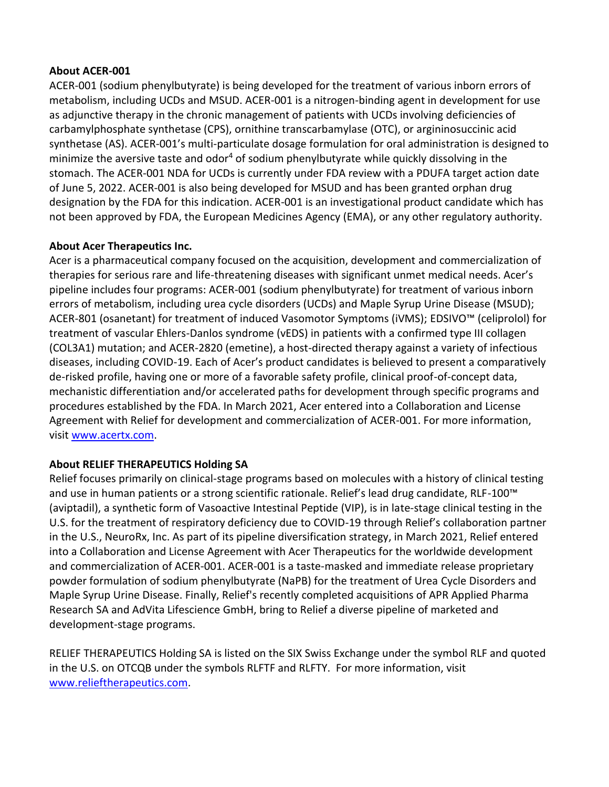### **About ACER-001**

ACER-001 (sodium phenylbutyrate) is being developed for the treatment of various inborn errors of metabolism, including UCDs and MSUD. ACER-001 is a nitrogen-binding agent in development for use as adjunctive therapy in the chronic management of patients with UCDs involving deficiencies of carbamylphosphate synthetase (CPS), ornithine transcarbamylase (OTC), or argininosuccinic acid synthetase (AS). ACER-001's multi-particulate dosage formulation for oral administration is designed to minimize the aversive taste and  $odor<sup>4</sup>$  of sodium phenylbutyrate while quickly dissolving in the stomach. The ACER-001 NDA for UCDs is currently under FDA review with a PDUFA target action date of June 5, 2022. ACER-001 is also being developed for MSUD and has been granted orphan drug designation by the FDA for this indication. ACER-001 is an investigational product candidate which has not been approved by FDA, the European Medicines Agency (EMA), or any other regulatory authority.

## **About Acer Therapeutics Inc.**

Acer is a pharmaceutical company focused on the acquisition, development and commercialization of therapies for serious rare and life-threatening diseases with significant unmet medical needs. Acer's pipeline includes four programs: ACER-001 (sodium phenylbutyrate) for treatment of various inborn errors of metabolism, including urea cycle disorders (UCDs) and Maple Syrup Urine Disease (MSUD); ACER-801 (osanetant) for treatment of induced Vasomotor Symptoms (iVMS); EDSIVO™ (celiprolol) for treatment of vascular Ehlers-Danlos syndrome (vEDS) in patients with a confirmed type III collagen (COL3A1) mutation; and ACER-2820 (emetine), a host-directed therapy against a variety of infectious diseases, including COVID-19. Each of Acer's product candidates is believed to present a comparatively de-risked profile, having one or more of a favorable safety profile, clinical proof-of-concept data, mechanistic differentiation and/or accelerated paths for development through specific programs and procedures established by the FDA. In March 2021, Acer entered into a Collaboration and License Agreement with Relief for development and commercialization of ACER-001. For more information, visit [www.acertx.com.](http://www.acertx.com/)

## **About RELIEF THERAPEUTICS Holding SA**

Relief focuses primarily on clinical-stage programs based on molecules with a history of clinical testing and use in human patients or a strong scientific rationale. Relief's lead drug candidate, RLF-100™ (aviptadil), a synthetic form of Vasoactive Intestinal Peptide (VIP), is in late-stage clinical testing in the U.S. for the treatment of respiratory deficiency due to COVID-19 through Relief's collaboration partner in the U.S., NeuroRx, Inc. As part of its pipeline diversification strategy, in March 2021, Relief entered into a Collaboration and License Agreement with Acer Therapeutics for the worldwide development and commercialization of ACER-001. ACER-001 is a taste-masked and immediate release proprietary powder formulation of sodium phenylbutyrate (NaPB) for the treatment of Urea Cycle Disorders and Maple Syrup Urine Disease. Finally, Relief's recently completed acquisitions of APR Applied Pharma Research SA and AdVita Lifescience GmbH, bring to Relief a diverse pipeline of marketed and development-stage programs.

RELIEF THERAPEUTICS Holding SA is listed on the SIX Swiss Exchange under the symbol RLF and quoted in the U.S. on OTCQB under the symbols RLFTF and RLFTY. For more information, visit [www.relieftherapeutics.com.](www.relieftherapeutics.com)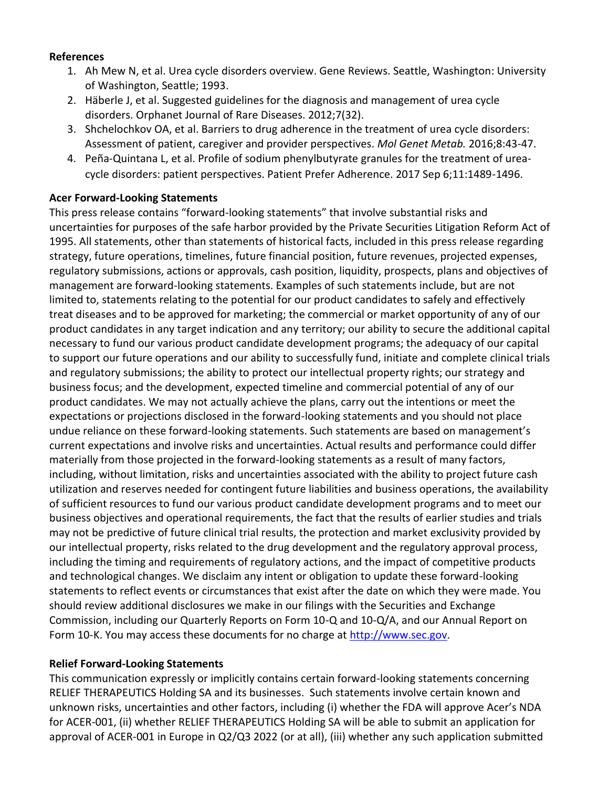### **References**

- 1. Ah Mew N, et al. Urea cycle disorders overview. Gene Reviews. Seattle, Washington: University of Washington, Seattle; 1993.
- 2. Häberle J, et al. Suggested guidelines for the diagnosis and management of urea cycle disorders. Orphanet Journal of Rare Diseases. 2012;7(32).
- 3. Shchelochkov OA, et al. Barriers to drug adherence in the treatment of urea cycle disorders: Assessment of patient, caregiver and provider perspectives. *Mol Genet Metab.* 2016;8:43-47.
- 4. Peña-Quintana L, et al. Profile of sodium phenylbutyrate granules for the treatment of ureacycle disorders: patient perspectives. Patient Prefer Adherence. 2017 Sep 6;11:1489-1496.

### **Acer Forward-Looking Statements**

This press release contains "forward-looking statements" that involve substantial risks and uncertainties for purposes of the safe harbor provided by the Private Securities Litigation Reform Act of 1995. All statements, other than statements of historical facts, included in this press release regarding strategy, future operations, timelines, future financial position, future revenues, projected expenses, regulatory submissions, actions or approvals, cash position, liquidity, prospects, plans and objectives of management are forward-looking statements. Examples of such statements include, but are not limited to, statements relating to the potential for our product candidates to safely and effectively treat diseases and to be approved for marketing; the commercial or market opportunity of any of our product candidates in any target indication and any territory; our ability to secure the additional capital necessary to fund our various product candidate development programs; the adequacy of our capital to support our future operations and our ability to successfully fund, initiate and complete clinical trials and regulatory submissions; the ability to protect our intellectual property rights; our strategy and business focus; and the development, expected timeline and commercial potential of any of our product candidates. We may not actually achieve the plans, carry out the intentions or meet the expectations or projections disclosed in the forward-looking statements and you should not place undue reliance on these forward-looking statements. Such statements are based on management's current expectations and involve risks and uncertainties. Actual results and performance could differ materially from those projected in the forward-looking statements as a result of many factors, including, without limitation, risks and uncertainties associated with the ability to project future cash utilization and reserves needed for contingent future liabilities and business operations, the availability of sufficient resources to fund our various product candidate development programs and to meet our business objectives and operational requirements, the fact that the results of earlier studies and trials may not be predictive of future clinical trial results, the protection and market exclusivity provided by our intellectual property, risks related to the drug development and the regulatory approval process, including the timing and requirements of regulatory actions, and the impact of competitive products and technological changes. We disclaim any intent or obligation to update these forward-looking statements to reflect events or circumstances that exist after the date on which they were made. You should review additional disclosures we make in our filings with the Securities and Exchange Commission, including our Quarterly Reports on Form 10-Q and 10-Q/A, and our Annual Report on Form 10-K. You may access these documents for no charge at [http://www.sec.gov.](http://www.sec.gov/)

## **Relief Forward-Looking Statements**

This communication expressly or implicitly contains certain forward-looking statements concerning RELIEF THERAPEUTICS Holding SA and its businesses. Such statements involve certain known and unknown risks, uncertainties and other factors, including (i) whether the FDA will approve Acer's NDA for ACER-001, (ii) whether RELIEF THERAPEUTICS Holding SA will be able to submit an application for approval of ACER-001 in Europe in Q2/Q3 2022 (or at all), (iii) whether any such application submitted